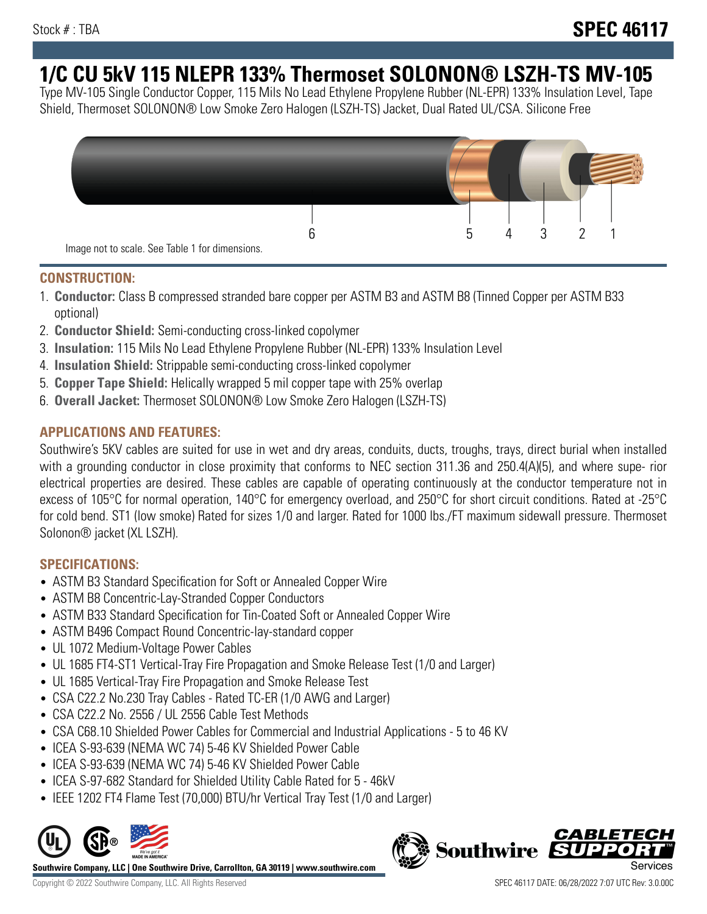# **1/C CU 5kV 115 NLEPR 133% Thermoset SOLONON® LSZH-TS MV-105**

Type MV-105 Single Conductor Copper, 115 Mils No Lead Ethylene Propylene Rubber (NL-EPR) 133% Insulation Level, Tape Shield, Thermoset SOLONON® Low Smoke Zero Halogen (LSZH-TS) Jacket, Dual Rated UL/CSA. Silicone Free



#### **CONSTRUCTION:**

- 1. **Conductor:** Class B compressed stranded bare copper per ASTM B3 and ASTM B8 (Tinned Copper per ASTM B33 optional)
- 2. **Conductor Shield:** Semi-conducting cross-linked copolymer
- 3. **Insulation:** 115 Mils No Lead Ethylene Propylene Rubber (NL-EPR) 133% Insulation Level
- 4. **Insulation Shield:** Strippable semi-conducting cross-linked copolymer
- 5. **Copper Tape Shield:** Helically wrapped 5 mil copper tape with 25% overlap
- 6. **Overall Jacket:** Thermoset SOLONON® Low Smoke Zero Halogen (LSZH-TS)

## **APPLICATIONS AND FEATURES:**

Southwire's 5KV cables are suited for use in wet and dry areas, conduits, ducts, troughs, trays, direct burial when installed with a grounding conductor in close proximity that conforms to NEC section 311.36 and 250.4(A)(5), and where supe- rior electrical properties are desired. These cables are capable of operating continuously at the conductor temperature not in excess of 105°C for normal operation, 140°C for emergency overload, and 250°C for short circuit conditions. Rated at -25°C for cold bend. ST1 (low smoke) Rated for sizes 1/0 and larger. Rated for 1000 lbs./FT maximum sidewall pressure. Thermoset Solonon® jacket (XL LSZH).

## **SPECIFICATIONS:**

- ASTM B3 Standard Specification for Soft or Annealed Copper Wire
- ASTM B8 Concentric-Lay-Stranded Copper Conductors
- ASTM B33 Standard Specification for Tin-Coated Soft or Annealed Copper Wire
- ASTM B496 Compact Round Concentric-lay-standard copper
- UL 1072 Medium-Voltage Power Cables
- UL 1685 FT4-ST1 Vertical-Tray Fire Propagation and Smoke Release Test (1/0 and Larger)
- UL 1685 Vertical-Tray Fire Propagation and Smoke Release Test
- CSA C22.2 No.230 Tray Cables Rated TC-ER (1/0 AWG and Larger)
- CSA C22.2 No. 2556 / UL 2556 Cable Test Methods
- CSA C68.10 Shielded Power Cables for Commercial and Industrial Applications 5 to 46 KV
- ICEA S-93-639 (NEMA WC 74) 5-46 KV Shielded Power Cable
- ICEA S-93-639 (NEMA WC 74) 5-46 KV Shielded Power Cable
- ICEA S-97-682 Standard for Shielded Utility Cable Rated for 5 46kV
- IEEE 1202 FT4 Flame Test (70,000) BTU/hr Vertical Tray Test (1/0 and Larger)



**Southwire Company, LLC | One Southwire Drive, Carrollton, GA 30119 | www.southwire.com**